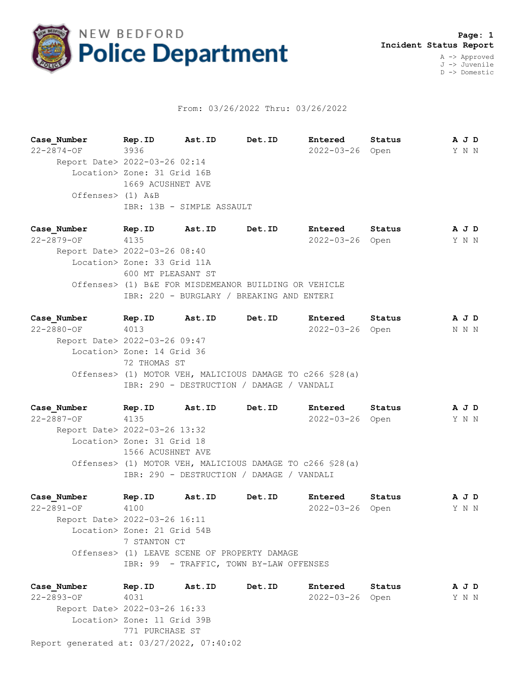

## From: 03/26/2022 Thru: 03/26/2022

**Case\_Number Rep.ID Ast.ID Det.ID Entered Status A J D** 22-2874-OF 3936 2022-03-26 Open Y N N Report Date> 2022-03-26 02:14 Location> Zone: 31 Grid 16B 1669 ACUSHNET AVE Offenses> (1) A&B IBR: 13B - SIMPLE ASSAULT

**Case\_Number Rep.ID Ast.ID Det.ID Entered Status A J D** 22-2879-OF 4135 2022-03-26 Open Y N N Report Date> 2022-03-26 08:40 Location> Zone: 33 Grid 11A 600 MT PLEASANT ST Offenses> (1) B&E FOR MISDEMEANOR BUILDING OR VEHICLE IBR: 220 - BURGLARY / BREAKING AND ENTERI

**Case\_Number Rep.ID Ast.ID Det.ID Entered Status A J D** 22-2880-OF 4013 2022-03-26 Open N N N Report Date> 2022-03-26 09:47 Location> Zone: 14 Grid 36 72 THOMAS ST Offenses> (1) MOTOR VEH, MALICIOUS DAMAGE TO c266 §28(a) IBR: 290 - DESTRUCTION / DAMAGE / VANDALI

**Case\_Number Rep.ID Ast.ID Det.ID Entered Status A J D** 22-2887-OF 4135 2022-03-26 Open Y N N Report Date> 2022-03-26 13:32 Location> Zone: 31 Grid 18 1566 ACUSHNET AVE Offenses> (1) MOTOR VEH, MALICIOUS DAMAGE TO c266 §28(a) IBR: 290 - DESTRUCTION / DAMAGE / VANDALI

**Case\_Number Rep.ID Ast.ID Det.ID Entered Status A J D** 22-2891-OF 4100 2022-03-26 Open Y N N Report Date> 2022-03-26 16:11 Location> Zone: 21 Grid 54B 7 STANTON CT Offenses> (1) LEAVE SCENE OF PROPERTY DAMAGE IBR: 99 - TRAFFIC, TOWN BY-LAW OFFENSES

Report generated at: 03/27/2022, 07:40:02 **Case\_Number Rep.ID Ast.ID Det.ID Entered Status A J D** 22-2893-OF 4031 2022-03-26 Open Y N N Report Date> 2022-03-26 16:33 Location> Zone: 11 Grid 39B 771 PURCHASE ST